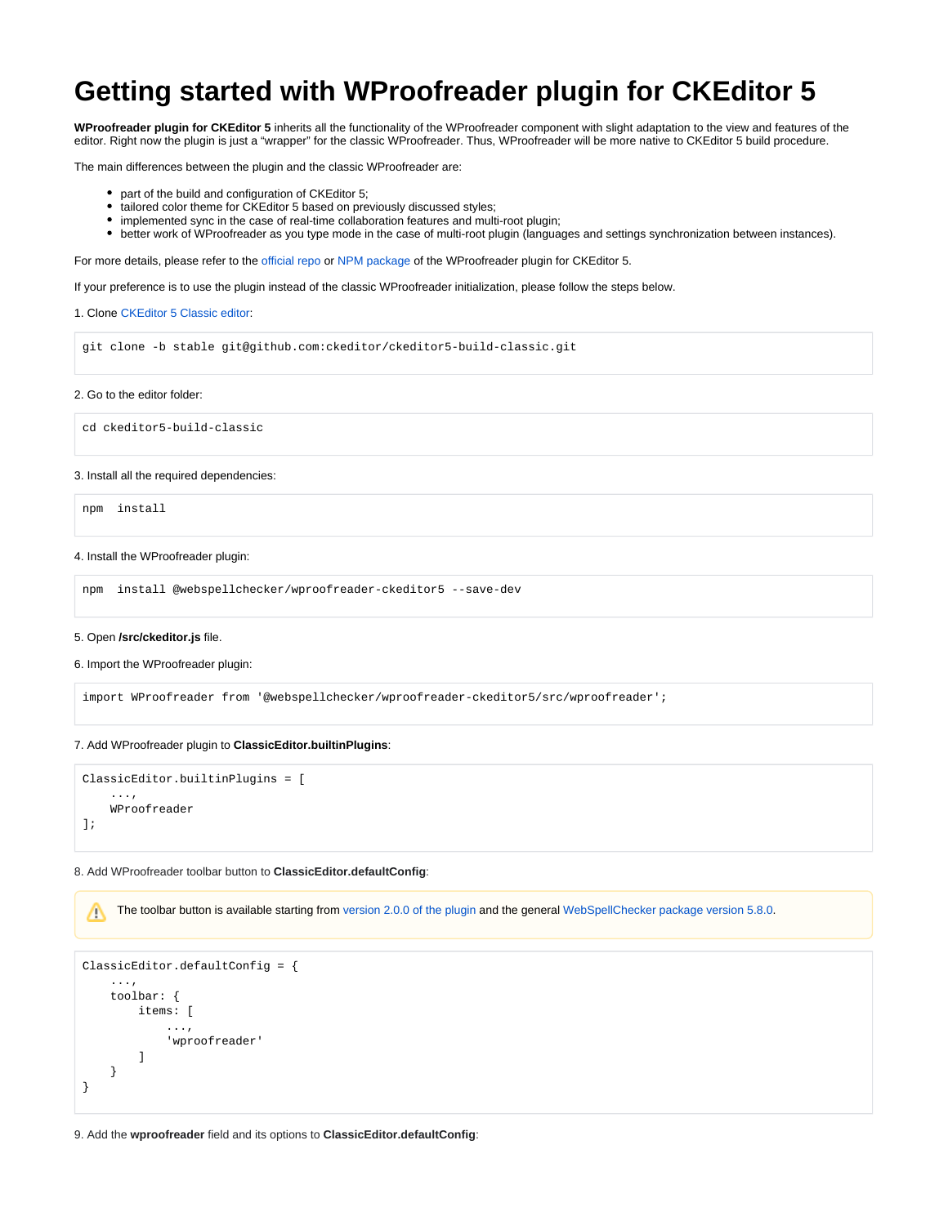# **Getting started with WProofreader plugin for CKEditor 5**

**WProofreader plugin for CKEditor 5** inherits all the functionality of the WProofreader component with slight adaptation to the view and features of the editor. Right now the plugin is just a "wrapper" for the classic WProofreader. Thus, WProofreader will be more native to CKEditor 5 build procedure.

The main differences between the plugin and the classic WProofreader are:

- part of the build and configuration of CKEditor 5;
- tailored color theme for CKEditor 5 based on previously discussed styles;
- $\bullet$ implemented sync in the case of real-time collaboration features and multi-root plugin;
- better work of WProofreader as you type mode in the case of multi-root plugin (languages and settings synchronization between instances).

For more details, please refer to the [official repo](https://www.npmjs.com/package/@webspellchecker/wproofreader-ckeditor5) or [NPM package](https://github.com/WebSpellChecker/wproofreader-ckeditor5) of the WProofreader plugin for CKEditor 5.

If your preference is to use the plugin instead of the classic WProofreader initialization, please follow the steps below.

# 1. Clone [CKEditor 5 Classic editor](https://ckeditor.com/docs/ckeditor5/latest/builds/guides/quick-start.html#classic-editor):

git clone -b stable git@github.com:ckeditor/ckeditor5-build-classic.git

#### 2. Go to the editor folder:

cd ckeditor5-build-classic

## 3. Install all the required dependencies:

npm install

## 4. Install the WProofreader plugin:

npm install @webspellchecker/wproofreader-ckeditor5 --save-dev

#### 5. Open **/src/ckeditor.js** file.

#### 6. Import the WProofreader plugin:

import WProofreader from '@webspellchecker/wproofreader-ckeditor5/src/wproofreader';

# 7. Add WProofreader plugin to **ClassicEditor.builtinPlugins**:

```
ClassicEditor.builtinPlugins = [
     ...,
     WProofreader
];
```
### 8. Add WProofreader toolbar button to **ClassicEditor.defaultConfig**:

The toolbar button is available starting from [version 2.0.0 of the plugin](https://github.com/WebSpellChecker/wproofreader-ckeditor5/blob/master/CHANGELOG.md) and the general [WebSpellChecker package version 5.8.0](https://webspellchecker.com/release-notes/v5-8-0/).Λ

```
ClassicEditor.defaultConfig = {
     ...,
     toolbar: {
         items: [
               ...,
               'wproofreader'
          ]
     }
}
```
9. Add the **wproofreader** field and its options to **ClassicEditor.defaultConfig**: